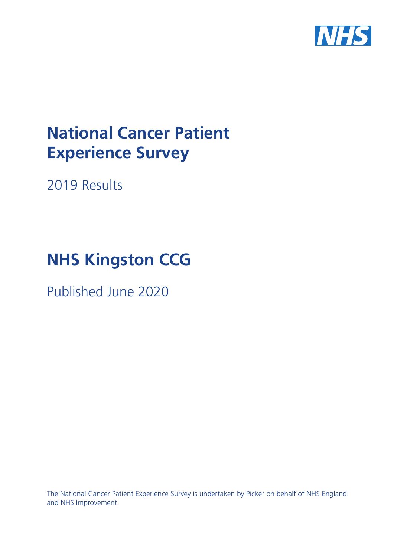

# **National Cancer Patient Experience Survey**

2019 Results

# **NHS Kingston CCG**

Published June 2020

The National Cancer Patient Experience Survey is undertaken by Picker on behalf of NHS England and NHS Improvement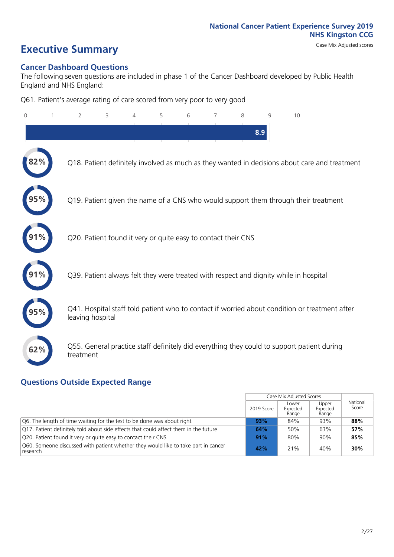# **Executive Summary** Case Mix Adjusted scores

### **Cancer Dashboard Questions**

The following seven questions are included in phase 1 of the Cancer Dashboard developed by Public Health England and NHS England:

Q61. Patient's average rating of care scored from very poor to very good

| $\overline{0}$ | $\overline{2}$   | 3                                                             | 4 | 5 | 6 | 7 | 8   | 9 | 10                                                                                            |
|----------------|------------------|---------------------------------------------------------------|---|---|---|---|-----|---|-----------------------------------------------------------------------------------------------|
|                |                  |                                                               |   |   |   |   | 8.9 |   |                                                                                               |
| 2%             |                  |                                                               |   |   |   |   |     |   | Q18. Patient definitely involved as much as they wanted in decisions about care and treatment |
|                |                  |                                                               |   |   |   |   |     |   | Q19. Patient given the name of a CNS who would support them through their treatment           |
| 91%            |                  | Q20. Patient found it very or quite easy to contact their CNS |   |   |   |   |     |   |                                                                                               |
|                |                  |                                                               |   |   |   |   |     |   | Q39. Patient always felt they were treated with respect and dignity while in hospital         |
|                | leaving hospital |                                                               |   |   |   |   |     |   | Q41. Hospital staff told patient who to contact if worried about condition or treatment after |
| 62%            | treatment        |                                                               |   |   |   |   |     |   | Q55. General practice staff definitely did everything they could to support patient during    |

### **Questions Outside Expected Range**

|                                                                                                |            | Case Mix Adjusted Scores   |                            |                   |
|------------------------------------------------------------------------------------------------|------------|----------------------------|----------------------------|-------------------|
|                                                                                                | 2019 Score | Lower<br>Expected<br>Range | Upper<br>Expected<br>Range | National<br>Score |
| Q6. The length of time waiting for the test to be done was about right                         | 93%        | 84%                        | 93%                        | 88%               |
| Q17. Patient definitely told about side effects that could affect them in the future           | 64%        | 50%                        | 63%                        | 57%               |
| Q20. Patient found it very or quite easy to contact their CNS                                  | 91%        | 80%                        | 90%                        | 85%               |
| Q60. Someone discussed with patient whether they would like to take part in cancer<br>research | 42%        | 21%                        | 40%                        | 30%               |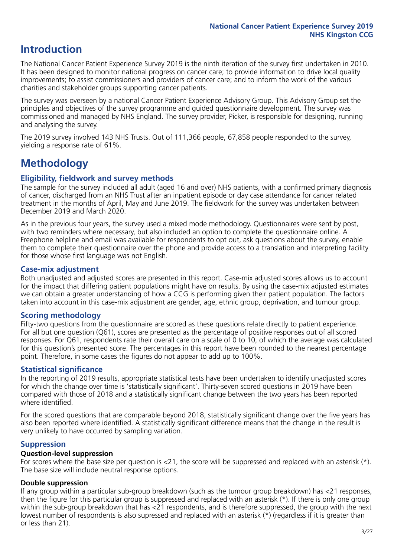### **Introduction**

The National Cancer Patient Experience Survey 2019 is the ninth iteration of the survey first undertaken in 2010. It has been designed to monitor national progress on cancer care; to provide information to drive local quality improvements; to assist commissioners and providers of cancer care; and to inform the work of the various charities and stakeholder groups supporting cancer patients.

The survey was overseen by a national Cancer Patient Experience Advisory Group. This Advisory Group set the principles and objectives of the survey programme and guided questionnaire development. The survey was commissioned and managed by NHS England. The survey provider, Picker, is responsible for designing, running and analysing the survey.

The 2019 survey involved 143 NHS Trusts. Out of 111,366 people, 67,858 people responded to the survey, yielding a response rate of 61%.

### **Methodology**

### **Eligibility, eldwork and survey methods**

The sample for the survey included all adult (aged 16 and over) NHS patients, with a confirmed primary diagnosis of cancer, discharged from an NHS Trust after an inpatient episode or day case attendance for cancer related treatment in the months of April, May and June 2019. The fieldwork for the survey was undertaken between December 2019 and March 2020.

As in the previous four years, the survey used a mixed mode methodology. Questionnaires were sent by post, with two reminders where necessary, but also included an option to complete the questionnaire online. A Freephone helpline and email was available for respondents to opt out, ask questions about the survey, enable them to complete their questionnaire over the phone and provide access to a translation and interpreting facility for those whose first language was not English.

### **Case-mix adjustment**

Both unadjusted and adjusted scores are presented in this report. Case-mix adjusted scores allows us to account for the impact that differing patient populations might have on results. By using the case-mix adjusted estimates we can obtain a greater understanding of how a CCG is performing given their patient population. The factors taken into account in this case-mix adjustment are gender, age, ethnic group, deprivation, and tumour group.

### **Scoring methodology**

Fifty-two questions from the questionnaire are scored as these questions relate directly to patient experience. For all but one question (Q61), scores are presented as the percentage of positive responses out of all scored responses. For Q61, respondents rate their overall care on a scale of 0 to 10, of which the average was calculated for this question's presented score. The percentages in this report have been rounded to the nearest percentage point. Therefore, in some cases the figures do not appear to add up to 100%.

### **Statistical significance**

In the reporting of 2019 results, appropriate statistical tests have been undertaken to identify unadjusted scores for which the change over time is 'statistically significant'. Thirty-seven scored questions in 2019 have been compared with those of 2018 and a statistically significant change between the two years has been reported where identified.

For the scored questions that are comparable beyond 2018, statistically significant change over the five years has also been reported where identified. A statistically significant difference means that the change in the result is very unlikely to have occurred by sampling variation.

### **Suppression**

### **Question-level suppression**

For scores where the base size per question is  $<$ 21, the score will be suppressed and replaced with an asterisk (\*). The base size will include neutral response options.

### **Double suppression**

If any group within a particular sub-group breakdown (such as the tumour group breakdown) has <21 responses, then the figure for this particular group is suppressed and replaced with an asterisk (\*). If there is only one group within the sub-group breakdown that has <21 respondents, and is therefore suppressed, the group with the next lowest number of respondents is also supressed and replaced with an asterisk (\*) (regardless if it is greater than or less than 21).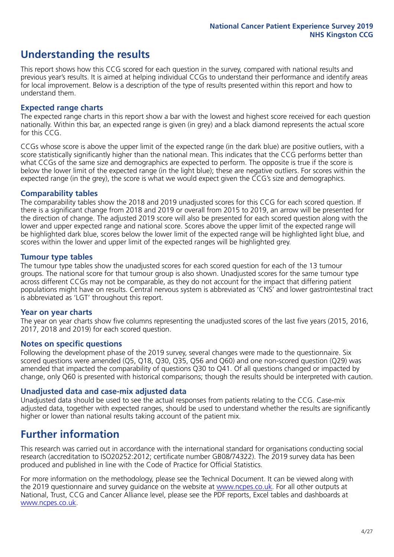### **Understanding the results**

This report shows how this CCG scored for each question in the survey, compared with national results and previous year's results. It is aimed at helping individual CCGs to understand their performance and identify areas for local improvement. Below is a description of the type of results presented within this report and how to understand them.

### **Expected range charts**

The expected range charts in this report show a bar with the lowest and highest score received for each question nationally. Within this bar, an expected range is given (in grey) and a black diamond represents the actual score for this CCG.

CCGs whose score is above the upper limit of the expected range (in the dark blue) are positive outliers, with a score statistically significantly higher than the national mean. This indicates that the CCG performs better than what CCGs of the same size and demographics are expected to perform. The opposite is true if the score is below the lower limit of the expected range (in the light blue); these are negative outliers. For scores within the expected range (in the grey), the score is what we would expect given the CCG's size and demographics.

### **Comparability tables**

The comparability tables show the 2018 and 2019 unadjusted scores for this CCG for each scored question. If there is a significant change from 2018 and 2019 or overall from 2015 to 2019, an arrow will be presented for the direction of change. The adjusted 2019 score will also be presented for each scored question along with the lower and upper expected range and national score. Scores above the upper limit of the expected range will be highlighted dark blue, scores below the lower limit of the expected range will be highlighted light blue, and scores within the lower and upper limit of the expected ranges will be highlighted grey.

### **Tumour type tables**

The tumour type tables show the unadjusted scores for each scored question for each of the 13 tumour groups. The national score for that tumour group is also shown. Unadjusted scores for the same tumour type across different CCGs may not be comparable, as they do not account for the impact that differing patient populations might have on results. Central nervous system is abbreviated as 'CNS' and lower gastrointestinal tract is abbreviated as 'LGT' throughout this report.

### **Year on year charts**

The year on year charts show five columns representing the unadjusted scores of the last five years (2015, 2016, 2017, 2018 and 2019) for each scored question.

#### **Notes on specific questions**

Following the development phase of the 2019 survey, several changes were made to the questionnaire. Six scored questions were amended (Q5, Q18, Q30, Q35, Q56 and Q60) and one non-scored question (Q29) was amended that impacted the comparability of questions Q30 to Q41. Of all questions changed or impacted by change, only Q60 is presented with historical comparisons; though the results should be interpreted with caution.

### **Unadjusted data and case-mix adjusted data**

Unadjusted data should be used to see the actual responses from patients relating to the CCG. Case-mix adjusted data, together with expected ranges, should be used to understand whether the results are significantly higher or lower than national results taking account of the patient mix.

### **Further information**

This research was carried out in accordance with the international standard for organisations conducting social research (accreditation to ISO20252:2012; certificate number GB08/74322). The 2019 survey data has been produced and published in line with the Code of Practice for Official Statistics.

For more information on the methodology, please see the Technical Document. It can be viewed along with the 2019 questionnaire and survey quidance on the website at [www.ncpes.co.uk](https://www.ncpes.co.uk/supporting-documents). For all other outputs at National, Trust, CCG and Cancer Alliance level, please see the PDF reports, Excel tables and dashboards at [www.ncpes.co.uk.](https://www.ncpes.co.uk/current-results)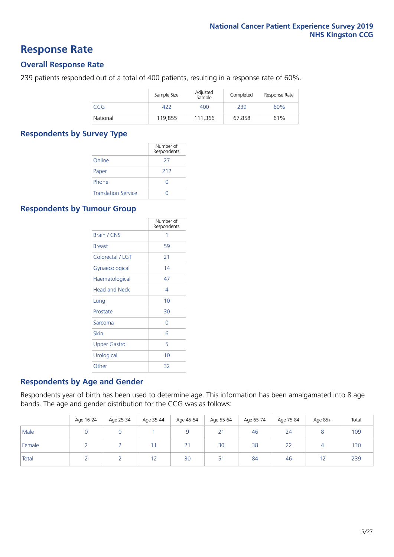### **Response Rate**

### **Overall Response Rate**

239 patients responded out of a total of 400 patients, resulting in a response rate of 60%.

|          | Sample Size | Adjusted<br>Sample | Completed | Response Rate |
|----------|-------------|--------------------|-----------|---------------|
| CCG.     | 422         | 400                | 239       | 60%           |
| National | 119.855     | 111.366            | 67.858    | 61%           |

### **Respondents by Survey Type**

|                            | Number of<br>Respondents |
|----------------------------|--------------------------|
| Online                     | 27                       |
| Paper                      | 212                      |
| Phone                      |                          |
| <b>Translation Service</b> |                          |

### **Respondents by Tumour Group**

|                      | Number of<br>Respondents |
|----------------------|--------------------------|
| Brain / CNS          | 1                        |
| <b>Breast</b>        | 59                       |
| Colorectal / LGT     | 21                       |
| Gynaecological       | 14                       |
| Haematological       | 47                       |
| <b>Head and Neck</b> | 4                        |
| Lung                 | 10                       |
| Prostate             | 30                       |
| Sarcoma              | Ω                        |
| Skin                 | 6                        |
| Upper Gastro         | 5                        |
| Urological           | 10                       |
| Other                | 32                       |

### **Respondents by Age and Gender**

Respondents year of birth has been used to determine age. This information has been amalgamated into 8 age bands. The age and gender distribution for the CCG was as follows:

|        | Age 16-24 | Age 25-34 | Age 35-44 | Age 45-54 | Age 55-64 | Age 65-74 | Age 75-84     | Age 85+ | Total |
|--------|-----------|-----------|-----------|-----------|-----------|-----------|---------------|---------|-------|
| Male   |           |           |           |           | 21        | 46        | 24            |         | 109   |
| Female |           |           |           | 21        | 30        | 38        | $\sim$ $\sim$ |         | 130   |
| Total  |           |           | 12        | 30        | 51        | 84        | 46            |         | 239   |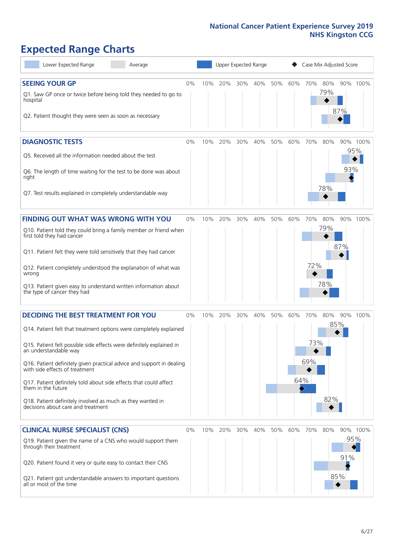# **Expected Range Charts**

| Lower Expected Range<br>Average                                                                                                                                                                                                                                                                                                                                                                                                                                                                                             |       |     | Upper Expected Range |     |     |     |            | Case Mix Adjusted Score |                   |                   |                 |
|-----------------------------------------------------------------------------------------------------------------------------------------------------------------------------------------------------------------------------------------------------------------------------------------------------------------------------------------------------------------------------------------------------------------------------------------------------------------------------------------------------------------------------|-------|-----|----------------------|-----|-----|-----|------------|-------------------------|-------------------|-------------------|-----------------|
| <b>SEEING YOUR GP</b><br>Q1. Saw GP once or twice before being told they needed to go to<br>hospital<br>Q2. Patient thought they were seen as soon as necessary                                                                                                                                                                                                                                                                                                                                                             | $0\%$ | 10% | 20%                  | 30% | 40% | 50% | 60%        | 70%                     | 80%<br>79%        | 87%               | 90% 100%        |
| <b>DIAGNOSTIC TESTS</b><br>Q5. Received all the information needed about the test<br>Q6. The length of time waiting for the test to be done was about<br>right<br>Q7. Test results explained in completely understandable way                                                                                                                                                                                                                                                                                               | $0\%$ | 10% | 20%                  | 30% | 40% | 50% | 60%        | 70%                     | 80%<br>78%        | 93%               | 90% 100%<br>95% |
| <b>FINDING OUT WHAT WAS WRONG WITH YOU</b><br>Q10. Patient told they could bring a family member or friend when<br>first told they had cancer<br>Q11. Patient felt they were told sensitively that they had cancer<br>Q12. Patient completely understood the explanation of what was<br>wrong<br>Q13. Patient given easy to understand written information about<br>the type of cancer they had                                                                                                                             | $0\%$ | 10% | 20%                  | 30% | 40% | 50% | 60%        | 70%<br>72%              | 80%<br>79%<br>78% | 87%               | 90% 100%        |
| <b>DECIDING THE BEST TREATMENT FOR YOU</b><br>Q14. Patient felt that treatment options were completely explained<br>Q15. Patient felt possible side effects were definitely explained in<br>an understandable way<br>Q16. Patient definitely given practical advice and support in dealing<br>with side effects of treatment<br>Q17. Patient definitely told about side effects that could affect<br>them in the future<br>Q18. Patient definitely involved as much as they wanted in<br>decisions about care and treatment | $0\%$ | 10% | 20%                  | 30% | 40% | 50% | 60%<br>64% | 70%<br>73%<br>69%       | 80%<br>82%        | 85%               | 90% 100%        |
| <b>CLINICAL NURSE SPECIALIST (CNS)</b><br>Q19. Patient given the name of a CNS who would support them<br>through their treatment<br>Q20. Patient found it very or quite easy to contact their CNS<br>Q21. Patient got understandable answers to important questions<br>all or most of the time                                                                                                                                                                                                                              | $0\%$ | 10% | 20%                  | 30% | 40% | 50% | 60%        | 70%                     | 80%               | 95%<br>91%<br>85% | 90% 100%        |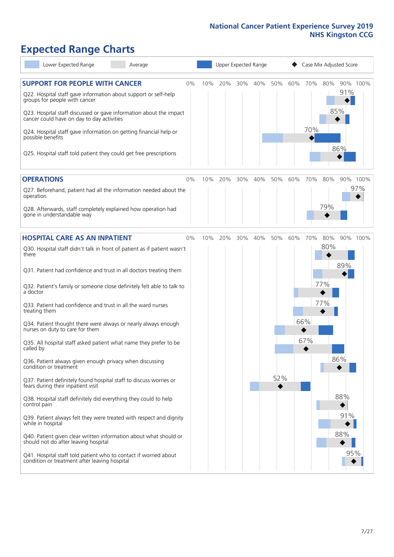# **Expected Range Charts**

| Lower Expected Range<br>Average                                                                                                           |    |     |         |     | Upper Expected Range |     |     |     |     | Case Mix Adjusted Score |          |
|-------------------------------------------------------------------------------------------------------------------------------------------|----|-----|---------|-----|----------------------|-----|-----|-----|-----|-------------------------|----------|
| <b>SUPPORT FOR PEOPLE WITH CANCER</b><br>Q22. Hospital staff gave information about support or self-help<br>groups for people with cancer | 0% | 10% | 20%     | 30% | 40%                  | 50% | 60% | 70% | 80% | 91%                     | 90% 100% |
| Q23. Hospital staff discussed or gave information about the impact<br>cancer could have on day to day activities                          |    |     |         |     |                      |     |     |     |     | 85%                     |          |
| Q24. Hospital staff gave information on getting financial help or<br>possible benefits                                                    |    |     |         |     |                      |     |     | 70% |     |                         |          |
| Q25. Hospital staff told patient they could get free prescriptions                                                                        |    |     |         |     |                      |     |     |     |     | 86%                     |          |
| <b>OPERATIONS</b>                                                                                                                         | 0% | 10% | 20%     | 30% | 40%                  | 50% | 60% | 70% | 80% |                         | 90% 100% |
| Q27. Beforehand, patient had all the information needed about the<br>operation                                                            |    |     |         |     |                      |     |     |     |     |                         | 97%      |
| Q28. Afterwards, staff completely explained how operation had<br>gone in understandable way                                               |    |     |         |     |                      |     |     |     | 79% |                         |          |
| <b>HOSPITAL CARE AS AN INPATIENT</b>                                                                                                      | 0% |     | 10% 20% | 30% | 40%                  | 50% | 60% | 70% | 80% |                         | 90% 100% |
| Q30. Hospital staff didn't talk in front of patient as if patient wasn't<br>there                                                         |    |     |         |     |                      |     |     |     | 80% |                         |          |
| Q31. Patient had confidence and trust in all doctors treating them                                                                        |    |     |         |     |                      |     |     |     |     | 89%                     |          |
| Q32. Patient's family or someone close definitely felt able to talk to<br>a doctor                                                        |    |     |         |     |                      |     |     |     | 77% |                         |          |
| Q33. Patient had confidence and trust in all the ward nurses<br>treating them                                                             |    |     |         |     |                      |     |     |     | 77% |                         |          |
| Q34. Patient thought there were always or nearly always enough<br>nurses on duty to care for them                                         |    |     |         |     |                      |     |     | 66% |     |                         |          |
| Q35. All hospital staff asked patient what name they prefer to be<br>called by                                                            |    |     |         |     |                      |     |     | 67% |     |                         |          |
| Q36. Patient always given enough privacy when discussing<br>condition or treatment                                                        |    |     |         |     |                      |     |     |     |     | 86%                     |          |
| Q37. Patient definitely found hospital staff to discuss worries or<br>fears during their inpatient visit                                  |    |     |         |     |                      | 52% |     |     |     |                         |          |
| Q38. Hospital staff definitely did everything they could to help<br>control pain                                                          |    |     |         |     |                      |     |     |     |     | 88%                     |          |
| Q39. Patient always felt they were treated with respect and dignity<br>while in hospital                                                  |    |     |         |     |                      |     |     |     |     | 91%                     |          |
| Q40. Patient given clear written information about what should or<br>should not do after leaving hospital                                 |    |     |         |     |                      |     |     |     |     | 88%                     |          |
| Q41. Hospital staff told patient who to contact if worried about<br>condition or treatment after leaving hospital                         |    |     |         |     |                      |     |     |     |     | 95%                     |          |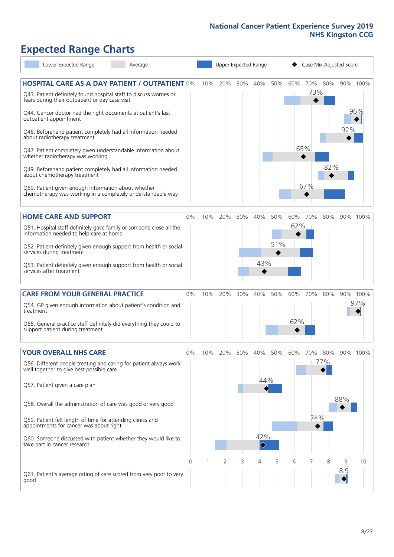# **Expected Range Charts**

| Lower Expected Range                                                                                                                                                                                                                                                                                                                                                                                                                                                                                                                                                                                                                                                                                   | Average |    |     | Upper Expected Range |     |                                 |            |            |                            | Case Mix Adjusted Score |          |                 |
|--------------------------------------------------------------------------------------------------------------------------------------------------------------------------------------------------------------------------------------------------------------------------------------------------------------------------------------------------------------------------------------------------------------------------------------------------------------------------------------------------------------------------------------------------------------------------------------------------------------------------------------------------------------------------------------------------------|---------|----|-----|----------------------|-----|---------------------------------|------------|------------|----------------------------|-------------------------|----------|-----------------|
| <b>HOSPITAL CARE AS A DAY PATIENT / OUTPATIENT 0%</b><br>Q43. Patient definitely found hospital staff to discuss worries or<br>fears during their outpatient or day case visit<br>Q44. Cancer doctor had the right documents at patient's last<br>outpatient appointment<br>Q46. Beforehand patient completely had all information needed<br>about radiotherapy treatment<br>Q47. Patient completely given understandable information about<br>whether radiotherapy was working<br>Q49. Beforehand patient completely had all information needed<br>about chemotherapy treatment<br>Q50. Patient given enough information about whether<br>chemotherapy was working in a completely understandable way |         |    | 10% | 20%                  | 30% | 40%                             | 50%        | 60%        | 70%<br>73%  <br>65%<br>67% | 80%<br>82%              | 92%      | 90% 100%<br>96% |
| <b>HOME CARE AND SUPPORT</b><br>Q51. Hospital staff definitely gave family or someone close all the<br>information needed to help care at home<br>Q52. Patient definitely given enough support from health or social<br>services during treatment<br>Q53. Patient definitely given enough support from health or social<br>services after treatment                                                                                                                                                                                                                                                                                                                                                    |         | 0% | 10% | 20%                  | 30% | 40%<br>43%                      | 50%<br>51% | 60%<br>62% | 70%                        | 80%                     |          | 90% 100%        |
| <b>CARE FROM YOUR GENERAL PRACTICE</b><br>Q54. GP given enough information about patient's condition and<br>treatment<br>Q55. General practice staff definitely did everything they could to<br>support patient during treatment                                                                                                                                                                                                                                                                                                                                                                                                                                                                       |         | 0% | 10% | 20%                  | 30% | 40%                             | 50%        | 60%<br>62% | 70%                        | 80%                     |          | 90% 100%<br>97% |
| <b>YOUR OVERALL NHS CARE</b><br>Q56. Different people treating and caring for patient always work<br>well together to give best possible care<br>Q57. Patient given a care plan<br>Q58. Overall the administration of care was good or very good<br>Q59. Patient felt length of time for attending clinics and<br>appointments for cancer was about right<br>Q60. Someone discussed with patient whether they would like to<br>take part in cancer research                                                                                                                                                                                                                                            |         | 0% | 10% | 20%                  | 30% | 40%<br>44%<br>42%<br>$\Diamond$ | 50%        | 60%        | 70%<br>74%                 | 80%<br>77%              | 88%      | 90% 100%        |
| Q61. Patient's average rating of care scored from very poor to very<br>good                                                                                                                                                                                                                                                                                                                                                                                                                                                                                                                                                                                                                            |         | 0  |     | 2                    | 3   | 4                               | 5          | 6          | 7                          | 8                       | 9<br>8.9 | 10              |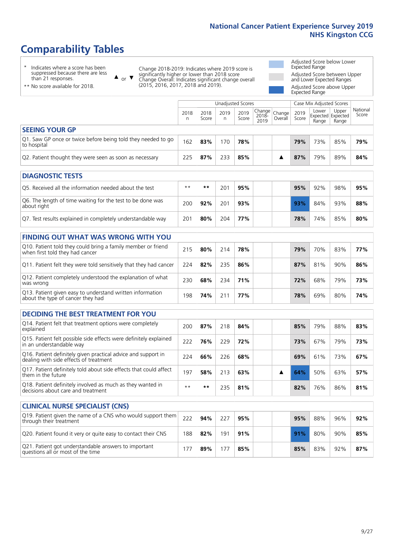# **Comparability Tables**

\* Indicates where a score has been suppressed because there are less than 21 responses.

\*\* No score available for 2018.

 $\triangle$  or  $\nabla$ 

Change 2018-2019: Indicates where 2019 score is significantly higher or lower than 2018 score Change Overall: Indicates significant change overall (2015, 2016, 2017, 2018 and 2019).

Adjusted Score below Lower Expected Range Adjusted Score between Upper and Lower Expected Ranges Adjusted Score above Upper

Expected Range

|                                                                             |           | Unadjusted Scores<br>Case Mix Adjusted Scores |              |               |                                                  |         |               |                |                                     |                   |
|-----------------------------------------------------------------------------|-----------|-----------------------------------------------|--------------|---------------|--------------------------------------------------|---------|---------------|----------------|-------------------------------------|-------------------|
|                                                                             | 2018<br>n | 2018<br>Score                                 | 2019<br>n    | 2019<br>Score | $\sqrt{(\text{Change})}$ Change<br>2018-<br>2019 | Overall | 2019<br>Score | Lower<br>Range | Upper<br>Expected Expected<br>Range | National<br>Score |
| <b>SEEING YOUR GP</b>                                                       |           |                                               |              |               |                                                  |         |               |                |                                     |                   |
| Q1. Saw GP once or twice before being told they needed to go<br>to hospital | 162       | 83%                                           | $70^{\circ}$ | 78%           |                                                  |         | 79%           | 73%            | 85%                                 | 79%               |
| Q2. Patient thought they were seen as soon as necessary                     | 225       | 87%                                           | 233          | 85%           |                                                  |         | 87%           | 79%            | 89%                                 | 84%               |
| <b>DIAGNOSTIC TESTS</b>                                                     |           |                                               |              |               |                                                  |         |               |                |                                     |                   |

| O5. Received all the information needed about the test                    | $**$ | **  | .00 | 95% | 95% | 92% | 98% | 95% |
|---------------------------------------------------------------------------|------|-----|-----|-----|-----|-----|-----|-----|
| Q6. The length of time waiting for the test to be done was<br>about right | 200  | 92% | 201 | 93% | 93% | 84% | 93% | 88% |
| Q7. Test results explained in completely understandable way               | 201  | 80% | 204 | 77% | 78% | 74% | 85% | 80% |

| <b>FINDING OUT WHAT WAS WRONG WITH YOU</b>                                                      |     |     |     |     |     |     |     |     |
|-------------------------------------------------------------------------------------------------|-----|-----|-----|-----|-----|-----|-----|-----|
| Q10. Patient told they could bring a family member or friend<br>when first told they had cancer | 215 | 80% | 214 | 78% | 79% | 70% | 83% | 77% |
| Q11. Patient felt they were told sensitively that they had cancer                               | 224 | 82% | 235 | 86% | 87% | 81% | 90% | 86% |
| Q12. Patient completely understood the explanation of what<br>was wrong                         | 230 | 68% | 234 | 71% | 72% | 68% | 79% | 73% |
| Q13. Patient given easy to understand written information<br>about the type of cancer they had  | 198 | 74% | 211 | 77% | 78% | 69% | 80% | 74% |

| <b>DECIDING THE BEST TREATMENT FOR YOU</b>                                                              |      |     |     |     |  |     |     |     |     |
|---------------------------------------------------------------------------------------------------------|------|-----|-----|-----|--|-----|-----|-----|-----|
| Q14. Patient felt that treatment options were completely<br>explained                                   | 200  | 87% | 218 | 84% |  | 85% | 79% | 88% | 83% |
| Q15. Patient felt possible side effects were definitely explained<br>in an understandable way           | 222  | 76% | 229 | 72% |  | 73% | 67% | 79% | 73% |
| Q16. Patient definitely given practical advice and support in<br>dealing with side effects of treatment | 224  | 66% | 226 | 68% |  | 69% | 61% | 73% | 67% |
| Q17. Patient definitely told about side effects that could affect<br>them in the future                 | 197  | 58% | 213 | 63% |  | 64% | 50% | 63% | 57% |
| Q18. Patient definitely involved as much as they wanted in<br>decisions about care and treatment        | $**$ | **  | 235 | 81% |  | 82% | 76% | 86% | 81% |

| <b>CLINICAL NURSE SPECIALIST (CNS)</b>                                                    |     |     |     |     |     |     |     |     |
|-------------------------------------------------------------------------------------------|-----|-----|-----|-----|-----|-----|-----|-----|
| Q19. Patient given the name of a CNS who would support them<br>through their treatment    | 222 | 94% | 227 | 95% | 95% | 88% | 96% | 92% |
| Q20. Patient found it very or quite easy to contact their CNS                             | 188 | 82% | 191 | 91% | 91% | 80% | 90% | 85% |
| Q21. Patient got understandable answers to important<br>questions all or most of the time |     | 89% |     | 85% | 85% | 83% | 92% | 87% |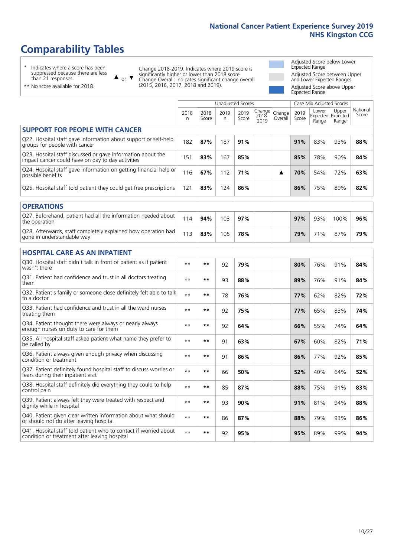# **Comparability Tables**

\* Indicates where a score has been suppressed because there are less than 21 responses.

\*\* No score available for 2018.

 $\triangle$  or  $\nabla$ 

Change 2018-2019: Indicates where 2019 score is significantly higher or lower than 2018 score Change Overall: Indicates significant change overall (2015, 2016, 2017, 2018 and 2019).

Adjusted Score below Lower Expected Range Adjusted Score between Upper and Lower Expected Ranges Adjusted Score above Upper Expected Range

|                                                                                                                   |              |               | <b>Unadjusted Scores</b> |               |                         |                   |               | Case Mix Adjusted Scores            |                |                   |
|-------------------------------------------------------------------------------------------------------------------|--------------|---------------|--------------------------|---------------|-------------------------|-------------------|---------------|-------------------------------------|----------------|-------------------|
|                                                                                                                   | 2018<br>n    | 2018<br>Score | 2019<br>n                | 2019<br>Score | Change<br>2018-<br>2019 | Change<br>Overall | 2019<br>Score | Lower<br>Expected Expected<br>Range | Upper<br>Range | National<br>Score |
| <b>SUPPORT FOR PEOPLE WITH CANCER</b>                                                                             |              |               |                          |               |                         |                   |               |                                     |                |                   |
| Q22. Hospital staff gave information about support or self-help<br>groups for people with cancer                  | 182          | 87%           | 187                      | 91%           |                         |                   | 91%           | 83%                                 | 93%            | 88%               |
| Q23. Hospital staff discussed or gave information about the<br>impact cancer could have on day to day activities  | 151          | 83%           | 167                      | 85%           |                         |                   | 85%           | 78%                                 | 90%            | 84%               |
| Q24. Hospital staff gave information on getting financial help or<br>possible benefits                            | 116          | 67%           | 112                      | 71%           |                         | ▲                 | 70%           | 54%                                 | 72%            | 63%               |
| Q25. Hospital staff told patient they could get free prescriptions                                                | 121          | 83%           | 124                      | 86%           |                         |                   | 86%           | 75%                                 | 89%            | 82%               |
| <b>OPERATIONS</b>                                                                                                 |              |               |                          |               |                         |                   |               |                                     |                |                   |
| Q27. Beforehand, patient had all the information needed about<br>the operation                                    | 114          | 94%           | 103                      | 97%           |                         |                   | 97%           | 93%                                 | 100%           | 96%               |
| Q28. Afterwards, staff completely explained how operation had<br>gone in understandable way                       | 113          | 83%           | 105                      | 78%           |                         |                   | 79%           | 71%                                 | 87%            | 79%               |
| <b>HOSPITAL CARE AS AN INPATIENT</b>                                                                              |              |               |                          |               |                         |                   |               |                                     |                |                   |
| Q30. Hospital staff didn't talk in front of patient as if patient<br>wasn't there                                 | $\star\star$ | $***$         | 92                       | 79%           |                         |                   | 80%           | 76%                                 | 91%            | 84%               |
| Q31. Patient had confidence and trust in all doctors treating<br>them                                             | $* *$        | $***$         | 93                       | 88%           |                         |                   | 89%           | 76%                                 | 91%            | 84%               |
| Q32. Patient's family or someone close definitely felt able to talk<br>to a doctor                                | $* *$        | $***$         | 78                       | 76%           |                         |                   | 77%           | 62%                                 | 82%            | 72%               |
| Q33. Patient had confidence and trust in all the ward nurses<br>treating them                                     | $* *$        | **            | 92                       | 75%           |                         |                   | 77%           | 65%                                 | 83%            | 74%               |
| Q34. Patient thought there were always or nearly always<br>enough nurses on duty to care for them                 | $* *$        | $***$         | 92                       | 64%           |                         |                   | 66%           | 55%                                 | 74%            | 64%               |
| Q35. All hospital staff asked patient what name they prefer to<br>be called by                                    | $* *$        | **            | 91                       | 63%           |                         |                   | 67%           | 60%                                 | 82%            | 71%               |
| Q36. Patient always given enough privacy when discussing<br>condition or treatment                                | $* *$        | $***$         | 91                       | 86%           |                         |                   | 86%           | 77%                                 | 92%            | 85%               |
| Q37. Patient definitely found hospital staff to discuss worries or<br>fears during their inpatient visit          | $* *$        | **            | 66                       | 50%           |                         |                   | 52%           | 40%                                 | 64%            | 52%               |
| Q38. Hospital staff definitely did everything they could to help<br>control pain                                  | $* *$        | $***$         | 85                       | 87%           |                         |                   | 88%           | 75%                                 | 91%            | 83%               |
| Q39. Patient always felt they were treated with respect and<br>dignity while in hospital                          | $* *$        | **            | 93                       | 90%           |                         |                   | 91%           | 81%                                 | 94%            | 88%               |
| Q40. Patient given clear written information about what should<br>or should not do after leaving hospital         | $\star\star$ | **            | 86                       | 87%           |                         |                   | 88%           | 79%                                 | 93%            | 86%               |
| Q41. Hospital staff told patient who to contact if worried about<br>condition or treatment after leaving hospital | $**$         | **            | 92                       | 95%           |                         |                   | 95%           | 89%                                 | 99%            | 94%               |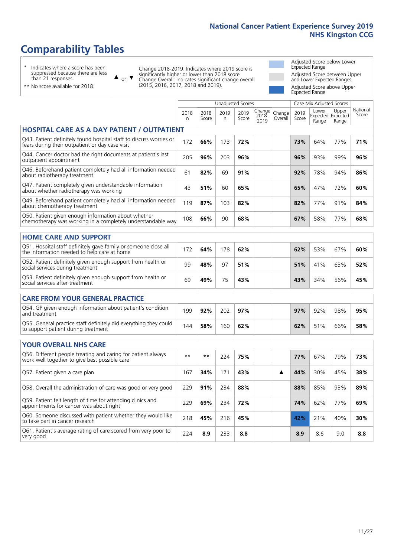# **Comparability Tables**

\* Indicates where a score has been suppressed because there are less than 21 responses.

\*\* No score available for 2018.

 $\triangle$  or  $\nabla$ 

Change 2018-2019: Indicates where 2019 score is significantly higher or lower than 2018 score Change Overall: Indicates significant change overall (2015, 2016, 2017, 2018 and 2019).

Adjusted Score below Lower Expected Range Adjusted Score between Upper and Lower Expected Ranges Adjusted Score above Upper Expected Range

|                                                                                                                       |           |               |           | <b>Unadjusted Scores</b> |                         |                   |               | Case Mix Adjusted Scores |                                     |                   |
|-----------------------------------------------------------------------------------------------------------------------|-----------|---------------|-----------|--------------------------|-------------------------|-------------------|---------------|--------------------------|-------------------------------------|-------------------|
|                                                                                                                       | 2018<br>n | 2018<br>Score | 2019<br>n | 2019<br>Score            | Change<br>2018-<br>2019 | Change<br>Overall | 2019<br>Score | Lower<br>Range           | Upper<br>Expected Expected<br>Range | National<br>Score |
| <b>HOSPITAL CARE AS A DAY PATIENT / OUTPATIENT</b>                                                                    |           |               |           |                          |                         |                   |               |                          |                                     |                   |
| Q43. Patient definitely found hospital staff to discuss worries or<br>fears during their outpatient or day case visit | 172       | 66%           | 173       | 72%                      |                         |                   | 73%           | 64%                      | 77%                                 | 71%               |
| Q44. Cancer doctor had the right documents at patient's last<br>outpatient appointment                                | 205       | 96%           | 203       | 96%                      |                         |                   | 96%           | 93%                      | 99%                                 | 96%               |
| Q46. Beforehand patient completely had all information needed<br>about radiotherapy treatment                         | 61        | 82%           | 69        | 91%                      |                         |                   | 92%           | 78%                      | 94%                                 | 86%               |
| Q47. Patient completely given understandable information<br>about whether radiotherapy was working                    | 43        | 51%           | 60        | 65%                      |                         |                   | 65%           | 47%                      | 72%                                 | 60%               |
| Q49. Beforehand patient completely had all information needed<br>about chemotherapy treatment                         | 119       | 87%           | 103       | 82%                      |                         |                   | 82%           | 77%                      | 91%                                 | 84%               |
| Q50. Patient given enough information about whether<br>chemotherapy was working in a completely understandable way    | 108       | 66%           | 90        | 68%                      |                         |                   | 67%           | 58%                      | 77%                                 | 68%               |
| <b>HOME CARE AND SUPPORT</b>                                                                                          |           |               |           |                          |                         |                   |               |                          |                                     |                   |
| Q51. Hospital staff definitely gave family or someone close all<br>the information needed to help care at home        | 172       | 64%           | 178       | 62%                      |                         |                   | 62%           | 53%                      | 67%                                 | 60%               |
| Q52. Patient definitely given enough support from health or<br>social services during treatment                       | 99        | 48%           | 97        | 51%                      |                         |                   | 51%           | 41%                      | 63%                                 | 52%               |
| Q53. Patient definitely given enough support from health or<br>social services after treatment                        | 69        | 49%           | 75        | 43%                      |                         |                   | 43%           | 34%                      | 56%                                 | 45%               |
| <b>CARE FROM YOUR GENERAL PRACTICE</b>                                                                                |           |               |           |                          |                         |                   |               |                          |                                     |                   |
| Q54. GP given enough information about patient's condition<br>and treatment                                           | 199       | 92%           | 202       | 97%                      |                         |                   | 97%           | 92%                      | 98%                                 | 95%               |
| Q55. General practice staff definitely did everything they could<br>to support patient during treatment               | 144       | 58%           | 160       | 62%                      |                         |                   | 62%           | 51%                      | 66%                                 | 58%               |
| <b>YOUR OVERALL NHS CARE</b>                                                                                          |           |               |           |                          |                         |                   |               |                          |                                     |                   |
| Q56. Different people treating and caring for patient always                                                          | $**$      | $***$         |           |                          |                         |                   |               |                          |                                     |                   |
| work well together to give best possible care                                                                         |           |               | 224       | 75%                      |                         |                   | 77%           | 67%                      | 79%                                 | 73%               |
| Q57. Patient given a care plan                                                                                        | 167       | 34%           | 171       | 43%                      |                         | ▲                 | 44%           | 30%                      | 45%                                 | 38%               |
| Q58. Overall the administration of care was good or very good                                                         | 229       | 91%           | 234       | 88%                      |                         |                   | 88%           | 85%                      | 93%                                 | 89%               |
| Q59. Patient felt length of time for attending clinics and<br>appointments for cancer was about right                 | 229       | 69%           | 234       | 72%                      |                         |                   | 74%           | 62%                      | 77%                                 | 69%               |
| Q60. Someone discussed with patient whether they would like<br>to take part in cancer research                        | 218       | 45%           | 216       | 45%                      |                         |                   | 42%           | 21%                      | 40%                                 | 30%               |
| Q61. Patient's average rating of care scored from very poor to<br>very good                                           | 224       | 8.9           | 233       | 8.8                      |                         |                   | 8.9           | 8.6                      | 9.0                                 | 8.8               |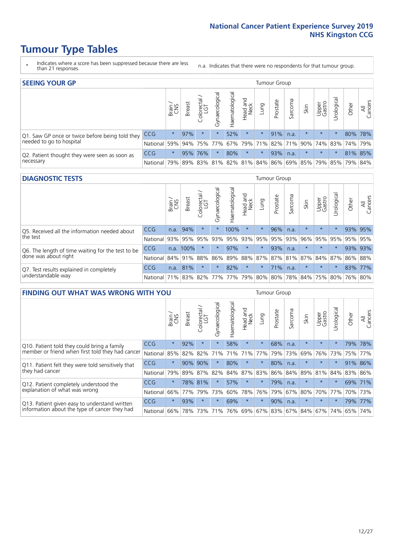- \* Indicates where a score has been suppressed because there are less than 21 responses.
- n.a. Indicates that there were no respondents for that tumour group.

| <b>SEEING YOUR GP</b>                           |            |         |               |            |                    |                |                  |         | Tumour Group |         |         |                 |                                                           |         |                |
|-------------------------------------------------|------------|---------|---------------|------------|--------------------|----------------|------------------|---------|--------------|---------|---------|-----------------|-----------------------------------------------------------|---------|----------------|
|                                                 |            | Brain   | <b>Breast</b> | Colorectal | ᠊ᢛ<br>Gynaecologic | Haematological | Head and<br>Neck | Lung    | Prostate     | Sarcoma | Skin    | Upper<br>Gastro | $\sigma$<br>Jrologica                                     | Other   | All<br>Cancers |
| Q1. Saw GP once or twice before being told they | <b>CCG</b> | $\star$ | 97%           | $\star$    |                    | 52%            | $\star$          | $\star$ | 91%          | n.a.    | $\star$ | $\star$         |                                                           | 80% 78% |                |
| needed to go to hospital                        | National   | 59%     |               |            | 94% 75% 77%        |                |                  |         |              |         |         |                 | 67%   79%   71%   82%   71%   90%   74%   83%   74%   79% |         |                |
| Q2. Patient thought they were seen as soon as   | <b>CCG</b> | $\star$ |               | 95% 76%    | $\star$            | 80%            | $\star$          | $\star$ | 93%          | n.a.    | $\star$ | $\star$         | $\star$                                                   | 81% 85% |                |
| necessary                                       | National   | 79%     |               | 89% 83%    |                    |                |                  |         |              |         |         |                 | 81%   82%   81%   84%   86%   69%   85%   79%   85%   79% |         | 84%            |

#### **DIAGNOSTIC TESTS** Tumour Group

|                                                   |                                          | Brain | <b>Breast</b> | Colorectal<br>LGT | ᠊ᢛ<br>Gynaecologic | Haematological | Head and<br>Neck | Lung    | Prostate | Sarcoma | Skin    | Upper<br>Gastro | rological                                   | Other | All<br>Cancers |
|---------------------------------------------------|------------------------------------------|-------|---------------|-------------------|--------------------|----------------|------------------|---------|----------|---------|---------|-----------------|---------------------------------------------|-------|----------------|
| Q5. Received all the information needed about     | <b>CCG</b>                               | n.a.  | 94%           |                   |                    | 100%           | $\star$          | $\star$ | 96%      | n.a.    |         | $\star$         | $\star$                                     |       | 93% 95%        |
| $\vert$ the test                                  | National                                 | 93%   |               | 95% 95%           |                    | 93% 95%        |                  | 93% 95% | 95%      | 93%     | 96%     |                 | 95% 95%                                     |       | 95% 95%        |
| Q6. The length of time waiting for the test to be | <b>CCG</b>                               |       | n.a. 100%     |                   | $\star$            | 97%            | $\star$          | $\star$ | 93%      | n.a.    | $\star$ | $\star$         | $\star$                                     |       | 93% 93%        |
| done was about right                              | National                                 |       | 84% 91% 88%   |                   |                    |                |                  |         |          |         |         |                 | 86% 89% 88% 87% 87% 81% 87% 84% 87% 86% 88% |       |                |
| Q7. Test results explained in completely          | <b>CCG</b>                               | n.a.  | 81%           |                   | $\star$            | 82%            | $\star$          | $\star$ | 71%      | n.a.    | $\star$ | $\star$         | $\star$                                     |       | 83% 77%        |
| understandable way                                | National 71% 83% 82% 77% 77% 79% 80% 80% |       |               |                   |                    |                |                  |         |          |         |         |                 | 78% 84% 75% 80% 76% 80%                     |       |                |

| <b>FINDING OUT WHAT WAS WRONG WITH YOU</b>        |          |         |               |                       |                |               |                        |         | Tumour Group |         |         |                 |            |         |                |
|---------------------------------------------------|----------|---------|---------------|-----------------------|----------------|---------------|------------------------|---------|--------------|---------|---------|-----------------|------------|---------|----------------|
|                                                   |          | Brain   | <b>Breast</b> | olorectal<br>LGT<br>Ū | Gynaecological | Haematologica | ad and<br>Neck<br>Head | Lung    | Prostate     | Sarcoma | Skin    | Upper<br>Gastro | Urological | Other   | All<br>Cancers |
| Q10. Patient told they could bring a family       | CCG      | $\star$ | 92%           | $\star$               | $\star$        | 58%           | $\ast$                 | $\star$ | 68%          | n.a.    | $\star$ | $\star$         | $\star$    | 79%     | 78%            |
| member or friend when first told they had cancer  | National | 85%     | 82%           | 82%                   | 71%            | 71%           | 71%                    | 77%     | 79%          | 73%     | 69%     | 76%             | 73%        | 75%     | 77%            |
| Q11. Patient felt they were told sensitively that | CCG      | $\star$ | 90%           | 90%                   |                | 80%           | $\ast$                 | $\star$ | 80%          | n.a.    | $\star$ | $\star$         | $\star$    |         | 91% 86%        |
| they had cancer                                   | National | 79%     |               | 89% 87%               | 82%            |               | 84% 87%                | 83%     | 86% 84%      |         | 89%     | 81%             | 84%        | 83% 86% |                |
| Q12. Patient completely understood the            | CCG      | $\star$ |               | 78% 81%               |                | 57%           | $\ast$                 | $\star$ | 79%          | n.a.    | $\star$ | $\star$         |            | 69%     | 171%           |
| explanation of what was wrong                     | National | 66%     | 77%           | 79%                   | 73%            | 60%           | 78%                    | 76%     | 79%          | 67%     | 80%     | 70%             | 77%        |         | 70% 73%        |
| Q13. Patient given easy to understand written     | CCG      | $\star$ | 93%           | $\star$               | $\star$        | 69%           | $\star$                | $\star$ | 90%          | n.a.    | $\star$ | $\star$         | $\star$    |         | 79% 77%        |
| information about the type of cancer they had     | National | 66%     | 78%           | 73%                   | 71%            | 76%           | 69%                    | 67% 83% |              | 67%     | 84%     | 67%             | 74%        | 65%     | 74%            |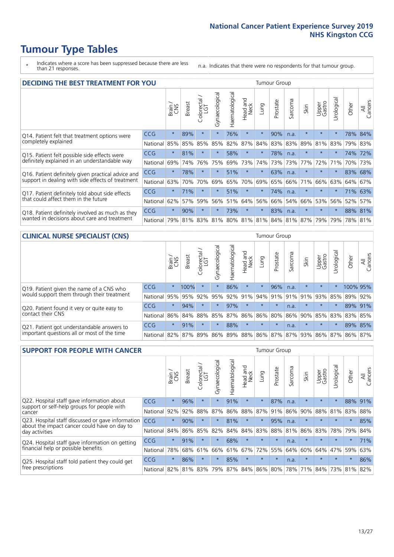- \* Indicates where a score has been suppressed because there are less than 21 responses.
- n.a. Indicates that there were no respondents for that tumour group.

| <b>DECIDING THE BEST TREATMENT FOR YOU</b>         |            |         |               |                             |                |                |                         |         | <b>Tumour Group</b>                     |                  |         |                 |            |         |                |
|----------------------------------------------------|------------|---------|---------------|-----------------------------|----------------|----------------|-------------------------|---------|-----------------------------------------|------------------|---------|-----------------|------------|---------|----------------|
|                                                    |            | Brain   | <b>Breast</b> | olorectal.<br>LGT<br>$\cup$ | Gynaecological | Haematological | ead and<br>Neck<br>Head | Lung    | Prostate                                | arcoma<br>$\sim$ | Skin    | Upper<br>Gastro | Jrological | Other   | All<br>Cancers |
| Q14. Patient felt that treatment options were      | CCG        | $\star$ | 89%           | $\star$                     | $\star$        | 76%            | $\star$                 | $\star$ | 90%                                     | n.a.             | $\star$ | $\star$         | $\star$    | 78%     | 84%            |
| completely explained                               | National   | 85%     | 85%           | 85%                         | 85%            | 82%            | 87%                     | 84%     | 83%                                     | 83%              | 89%     | 81%             | 83%        | 79%     | 83%            |
| Q15. Patient felt possible side effects were       | CCG        | $\star$ | 81%           | $\star$                     | $\star$        | 58%            | $\star$                 | $\star$ | 78%                                     | n.a.             | $\star$ | $\star$         | $\star$    | 74%     | 72%            |
| definitely explained in an understandable way      | National   | 69%     | 74%           | 76%                         | 75%            | 69%            | 73%                     | 74%     | 73%                                     | 73%              | 77%     | 72%             | 71%        | 70%     | 73%            |
| Q16. Patient definitely given practical advice and | <b>CCG</b> | $\star$ | 78%           | $\star$                     | $\star$        | 51%            | $\star$                 | $\star$ | 63%                                     | n.a.             | $\star$ | $\star$         |            |         | 83% 68%        |
| support in dealing with side effects of treatment  | National   | 63%     | 70%           | 70%                         | 69%            | 65%            | 70%                     | 69%     | 65%                                     | 66%              | 71%     | 66%             | 63%        | 64%     | 67%            |
| Q17. Patient definitely told about side effects    | CCG        | $\star$ | 71%           | $\star$                     | $\star$        | 51%            | $\star$                 | $\star$ | 74%                                     | n.a.             | $\star$ | $\star$         |            |         | 71% 63%        |
| that could affect them in the future               | National   | 62%     | 57%           | 59%                         | 56%            | 51%            | 64%                     | 56%     | 66%                                     | 54%              | 66%     | 53%             | 56%        | 52%     | 57%            |
| Q18. Patient definitely involved as much as they   | CCG        | $\star$ | 90%           | $\star$                     | $\star$        | 73%            | $\star$                 | $\star$ | 83%                                     | n.a.             | $\star$ | $\star$         | $^\star$   |         | 88% 81%        |
| wanted in decisions about care and treatment       | National   | 79%     |               |                             |                |                |                         |         | 81% 83% 81% 80% 81% 81% 84% 81% 87% 79% |                  |         |                 | 79%        | 78% 81% |                |

#### **CLINICAL NURSE SPECIALIST (CNS)** Tumour Group

|                                             |                      | Brain<br>CNS | <b>Breast</b> | olorectal<br>LGT<br>U | $\overline{\sigma}$<br>aecologic<br>$\bar{\xi}$ | ᠊ᢛ<br>ت<br>Haematologi | Head and<br>Neck        | Lung    | Prostate | Sarcoma | Skin                   | Upper<br>Gastro | σ<br>rologica | Other    | All<br>Cancers |
|---------------------------------------------|----------------------|--------------|---------------|-----------------------|-------------------------------------------------|------------------------|-------------------------|---------|----------|---------|------------------------|-----------------|---------------|----------|----------------|
| Q19. Patient given the name of a CNS who    | <b>CCG</b>           | $\star$      | 100%          | $\star$               |                                                 | 86%                    | $\star$                 | $\star$ | 96%      | n.a.    | $\star$                | $\star$         |               | 100% 95% |                |
| would support them through their treatment  | National             | 95%          | 95%           | 92%                   | 95%                                             | 92%                    | 91%                     |         |          |         | $ 94\% 91\% 91\% 91\%$ | 93%             | 85%           | 89%      | 92%            |
| Q20. Patient found it very or quite easy to | CCG                  | $\star$      | 94%           |                       | $\star$                                         | 97%                    | $\star$                 | $\star$ | $\star$  | n.a.    | $\star$                | $\star$         | $\star$       | 89%      | 91%            |
| contact their CNS                           | National I           | 86%          | 84% 88%       |                       | 85%                                             | 87%                    | 86%   86%   80%         |         |          |         |                        | 86% 90% 85% 83% |               | 83%      | 85%            |
| Q21. Patient got understandable answers to  | CCG                  | $\star$      | 91%           |                       | $\star$                                         | 88%                    | $\star$                 | $\star$ | $\star$  | n.a.    | $\star$                | $\star$         | $\star$       |          | 89% 85%        |
| important questions all or most of the time | National   82%   87% |              |               | 89%                   | 86%                                             |                        | 89% 88% 86% 87% 87% 93% |         |          |         |                        | 86% 87%         |               | 86%      | 87%            |

| <b>SUPPORT FOR PEOPLE WITH CANCER</b>                                                             |            |         |               |                        |                |                |                        |          | <b>Tumour Group</b> |         |         |                 |           |         |                |
|---------------------------------------------------------------------------------------------------|------------|---------|---------------|------------------------|----------------|----------------|------------------------|----------|---------------------|---------|---------|-----------------|-----------|---------|----------------|
|                                                                                                   |            | Brain   | <b>Breast</b> | olorectal.<br>LGT<br>Ũ | Gynaecological | Haematological | ad and<br>Neck<br>Head | Lung     | Prostate            | Sarcoma | Skin    | Upper<br>Gastro | Jrologica | Other   | All<br>Cancers |
| Q22. Hospital staff gave information about<br>support or self-help groups for people with         | <b>CCG</b> | $\star$ | 96%           | $\star$                | $\star$        | 91%            | $\star$                | $^\star$ | 87%                 | n.a.    | $\star$ | $\star$         | $\star$   | 88%     | 91%            |
| cancer                                                                                            | National   | 92%     | 92%           | 88%                    | 87%            | 86%            | 88%                    | 87%      | 91%                 | 86%     | 90%     | 88%             | 81%       | 83%     | 88%            |
| Q23. Hospital staff discussed or gave information<br>about the impact cancer could have on day to | CCG        | $\star$ | 90%           | $\star$                | $\star$        | 81%            | $\star$                | $\star$  | 95%                 | n.a.    | $\star$ | $\star$         | $\star$   | $\star$ | 85%            |
| day activities                                                                                    | National   | 84%     | 86%           | 85%                    | 82%            | 84%            | 84%                    | 83%      | 88%                 | 81%     | 86%     | 83%             | 78%       | 79%     | 84%            |
| Q24. Hospital staff gave information on getting                                                   | CCG        | $\star$ | 91%           | $\star$                | $\star$        | 68%            | $\ast$                 | $\star$  | $\star$             | n.a.    | $\star$ | $\star$         | $\star$   | $\star$ | 71%            |
| financial help or possible benefits                                                               | National   | 78%     | 68%           | 61%                    | 66%            | 61%            | 67%                    | 72%      | 55%                 | 64%     | 60%     | 64%             | 47%       | 59%     | 63%            |
| Q25. Hospital staff told patient they could get                                                   | <b>CCG</b> | $\star$ | 86%           | $\star$                | $\star$        | 85%            | $\star$                | $\star$  | $\star$             | n.a.    | $\star$ | $\star$         | $\star$   | $\ast$  | 86%            |
| free prescriptions                                                                                | National   | 82%     |               | 81% 83%                | 79%            |                | 87% 84% 86% 80%        |          |                     | 78%     | 71%     | 84%             | 73%       | 81%     | 82%            |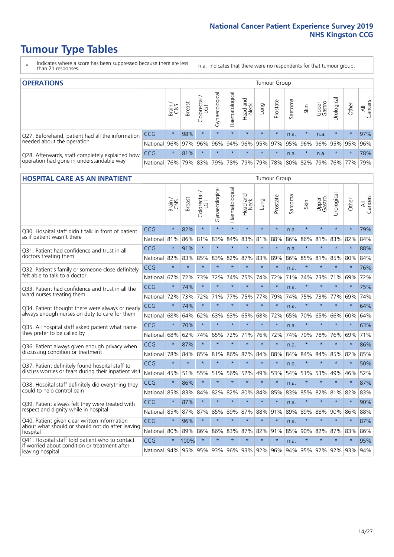- \* Indicates where a score has been suppressed because there are less than 21 responses.
- n.a. Indicates that there were no respondents for that tumour group.

| <b>OPERATIONS</b>                                |                      |              |               |                   |                |                             |                  |             | Tumour Group    |         |         |                 |             |         |                |
|--------------------------------------------------|----------------------|--------------|---------------|-------------------|----------------|-----------------------------|------------------|-------------|-----------------|---------|---------|-----------------|-------------|---------|----------------|
|                                                  |                      | Brain<br>CNS | <b>Breast</b> | Colorectal<br>LGT | Gynaecological | Haematological              | Head and<br>Neck | <b>Dung</b> | Prostate        | Sarcoma | Skin    | Upper<br>Gastro | Urologica   | Other   | All<br>Cancers |
| Q27. Beforehand, patient had all the information | CCG                  | $\star$      | 98%           | $\star$           | $\star$        | $\star$                     | $\star$          | $\star$     | $\star$         | n.a.    |         | n.a.            | $\star$     | $\star$ | 97%            |
| needed about the operation                       | National 96% 97% 96% |              |               |                   |                | 96% 94% 96% 95% 97% 95% 96% |                  |             |                 |         |         |                 | 96% 95% 95% |         | 96%            |
| Q28. Afterwards, staff completely explained how  | <b>CCG</b>           | $\star$      | 81%           | $\star$           | $\star$        | $\star$                     | $\star$          | $\star$     | $\star$         | n.a.    | $\star$ | n.a.            | $\star$     | $\star$ | 78%            |
| operation had gone in understandable way         | National             | 76%          |               | 79% 83%           |                | 79% 78% 79%                 |                  |             | 79% 78% 80% 82% |         |         | $ 79\% $        |             | 76% 77% | 79%            |

#### **HOSPITAL CARE AS AN INPATIENT** Tumour Group

|                                                                                                  |                                      | Brain   | Breast  | Colorectal /<br>LGT | Gynaecological | Haematological | Head and<br>Neck | Lung    | Prostate | Sarcoma | Skin    | Upper<br>Gastro | Urological      | Other   | All<br>Cancers |
|--------------------------------------------------------------------------------------------------|--------------------------------------|---------|---------|---------------------|----------------|----------------|------------------|---------|----------|---------|---------|-----------------|-----------------|---------|----------------|
| Q30. Hospital staff didn't talk in front of patient                                              | CCG                                  | $\star$ | 82%     | $\star$             | $\star$        | $\star$        | $\star$          | $\star$ | $\star$  | n.a.    | $\star$ | $\star$         | $\star$         | $\star$ | 79%            |
| as if patient wasn't there                                                                       | National                             | 81%     | 86%     | 81%                 | 83%            | 84%            | 83%              | 81%     | 88%      | 86%     | 86%     | 81%             | 83%             | 82%     | 84%            |
| O31. Patient had confidence and trust in all                                                     | CCG                                  | $\star$ | 91%     | $\star$             | $\star$        | $\star$        | $\star$          | $\star$ | $\star$  | n.a.    | $\star$ |                 | $\star$         | $\star$ | 88%            |
| doctors treating them                                                                            | National 82%                         |         | 83%     | 85%                 | 83%            | 82%            |                  | 87% 83% | 89%      | 86%     |         | 85% 81% 85%     |                 | 80%     | 84%            |
| Q32. Patient's family or someone close definitely                                                | CCG                                  | $\star$ | $\star$ | $\star$             | $\star$        | $\star$        | $\star$          | $\star$ | $\star$  | n.a.    | $\star$ | $\star$         | $\star$         | $\star$ | 76%            |
| felt able to talk to a doctor                                                                    | National                             | 67%     | 72%     | 73%                 | 72%            | 74%            | 75%              | 74%     | 72%      | 71%     | 74%     | 73%             | 71%             | 69%     | 72%            |
| O33. Patient had confidence and trust in all the                                                 | CCG                                  | $\star$ | 74%     | $\star$             | $\star$        | $\star$        | $\star$          | $\star$ | $\star$  | n.a.    | $\star$ | $\star$         | $\star$         | $\star$ | 75%            |
| ward nurses treating them                                                                        | National                             | 72%     | 73%     | 72%                 |                | 71% 77%        | 75%              | 77%     | 79%      | 74%     | 75%     | 73%             | 77%             | 69%     | 74%            |
| Q34. Patient thought there were always or nearly                                                 | CCG                                  | $\star$ | 74%     | $\star$             | $\star$        | $\star$        | $\star$          | $\star$ | $\star$  | n.a.    | $\star$ | $\star$         | $\star$         | $\star$ | 64%            |
| always enough nurses on duty to care for them                                                    | National                             | 68%     | 64%     | 62%                 | 63%            | 63%            | 65%              | 68%     | 72%      | 65%     | 70%     | 65%             | 66%             | 60%     | 64%            |
| Q35. All hospital staff asked patient what name                                                  | CCG                                  | $\star$ | 70%     | $\star$             | $\star$        | $\star$        | $\star$          | $\star$ | $\star$  | n.a.    | $\star$ |                 | $\star$         | $\star$ | 63%            |
| they prefer to be called by                                                                      | National                             | 68%     | 62%     | 74%                 | 65%            | 72%            | 71%              | 76%     | 72%      | 74%     | 70%     | 78%             | 76%             | 69%     | 71%            |
| Q36. Patient always given enough privacy when                                                    | CCG                                  | $\star$ | 87%     | $\star$             | $\star$        | $\star$        | $\star$          | $\star$ | $\star$  | n.a.    | $\star$ | $\star$         | $\star$         | $\star$ | 86%            |
| discussing condition or treatment                                                                | National                             | 78%     | 84%     | 85%                 | 81%            | 86%            |                  | 87% 84% | 88%      | 84%     | 84%     | 84%             | 85%             | 82%     | 85%            |
| Q37. Patient definitely found hospital staff to                                                  | <b>CCG</b>                           | $\star$ | $\star$ | $\star$             |                | ÷              | $\star$          | $\star$ | $\star$  | n.a.    | $\star$ |                 | $\star$         | $\star$ | 50%            |
| discuss worries or fears during their inpatient visit                                            | National                             | 45%     |         | 51% 55%             | 51%            | 56%            | 52%              | 49%     | 53%      | 54%     | 51%     |                 | 53% 49%         | 46%     | 52%            |
| Q38. Hospital staff definitely did everything they                                               | CCG                                  | $\star$ | 86%     | $\star$             | $\star$        | $\star$        | $\star$          | $\star$ | $\star$  | n.a.    | $\star$ | $\star$         | $\star$         | $\star$ | 87%            |
| could to help control pain                                                                       | National                             | 85%     | 83%     | 84%                 | 82%            | 82%            | 80%              | 84%     | 85%      | 83%     | 85%     | 82%             | 81%             | 82%     | 83%            |
| Q39. Patient always felt they were treated with                                                  | CCG                                  | $\star$ | 87%     | $\star$             | $\star$        | $\star$        | $\star$          | $\star$ | $\star$  | n.a.    | $\star$ |                 | $\star$         | $\star$ | 90%            |
| respect and dignity while in hospital                                                            | National 85%                         |         | 87%     | 87%                 | 85%            | 89%            |                  | 87% 88% | 91%      | 89%     | 89%     | 88%             | 90%             | 86%     | 88%            |
| Q40. Patient given clear written information<br>about what should or should not do after leaving | CCG                                  | $\star$ | 96%     | $\star$             | $\star$        | $\star$        | $\star$          | $\star$ | $\star$  | n.a.    | $\star$ | $\star$         | $\star$         | $\star$ | 87%            |
| hospital                                                                                         | National 80%                         |         | 89%     | 86%                 | 86%            | 83%            |                  | 87% 82% | 91%      | 85%     | 90%     | 82%             | 87%             | 83%     | 86%            |
| Q41. Hospital staff told patient who to contact<br>if worried about condition or treatment after | CCG                                  | $\star$ | 100%    | $\star$             | $\star$        | $\star$        | $\star$          | $\star$ | $\star$  | n.a.    | $\star$ | $\star$         | $\star$         | $\star$ | 95%            |
| leaving hospital                                                                                 | National 94% 95% 95% 93% 96% 93% 92% |         |         |                     |                |                |                  |         | 96%      |         |         |                 | 94% 95% 92% 92% | 93% 94% |                |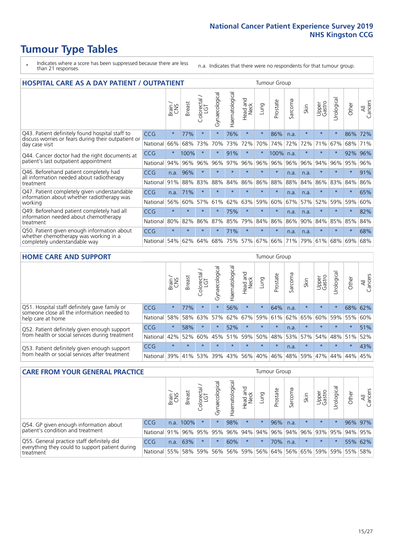- \* Indicates where a score has been suppressed because there are less than 21 responses.
- n.a. Indicates that there were no respondents for that tumour group.

| <b>HOSPITAL CARE AS A DAY PATIENT / OUTPATIENT</b>                                                                    |            |         |               |                     |                |                |                         |         | <b>Tumour Group</b> |                               |         |                 |            |         |                |  |  |  |  |  |  |  |
|-----------------------------------------------------------------------------------------------------------------------|------------|---------|---------------|---------------------|----------------|----------------|-------------------------|---------|---------------------|-------------------------------|---------|-----------------|------------|---------|----------------|--|--|--|--|--|--|--|
|                                                                                                                       |            | Brain   | <b>Breast</b> | Colorectal /<br>LGT | Gynaecological | Haematological | ead and<br>Neck<br>Head | Lung    | Prostate            | arcoma<br>$\overline{\Omega}$ | Skin    | Upper<br>Gastro | Urological | Other   | All<br>Cancers |  |  |  |  |  |  |  |
| Q43. Patient definitely found hospital staff to                                                                       | CCG        | $\star$ | 77%           | $\star$             | $\star$        | 76%            | $\star$                 | $\star$ | 86%                 | n.a.                          | $\star$ | $\star$         | $^\star$   | 86%     | 72%            |  |  |  |  |  |  |  |
| discuss worries or fears during their outpatient or<br>day case visit                                                 | National   | 66%     | 68%           | 73%                 | 70%            | 73%            | 72%                     | 70%     | 74%                 | 72%                           | 72%     | 71%             | 67%        | 68%     | 71%            |  |  |  |  |  |  |  |
| Q44. Cancer doctor had the right documents at<br>patient's last outpatient appointment                                | CCG        | $\star$ | 100%          | $\star$             | $\star$        | 91%            | $\star$                 | $\star$ | 100%                | n.a.                          |         | $\star$         | $\star$    | 92%     | 96%            |  |  |  |  |  |  |  |
|                                                                                                                       | National   | 94%     | 96%           | 96%                 | 96%            | 97%            | 96%                     | 96%     | 96%                 | 96%                           | 96%     | 94%             | 96%        | 95%     | 96%            |  |  |  |  |  |  |  |
| Q46. Beforehand patient completely had                                                                                | <b>CCG</b> | n.a.    | 96%           | $\star$             |                |                | $\star$                 | $\star$ | $\star$             | n.a.                          | n.a.    | $\star$         | $\star$    | $\star$ | 91%            |  |  |  |  |  |  |  |
| all information needed about radiotherapy<br>treatment                                                                | National   | 91%     | 88%           | 83%                 | 88%            | 84%            | 86%                     | 86%     | 88%                 | 88%                           | 84%     | 86%             | 83%        | 84%     | 86%            |  |  |  |  |  |  |  |
| Q47. Patient completely given understandable<br>information about whether radiotherapy was                            | <b>CCG</b> | n.a.    | 71%           | $\star$             |                |                | $\star$                 | $\star$ | $\star$             | n.a.                          | n.a.    | $\star$         | $\star$    | $\star$ | 65%            |  |  |  |  |  |  |  |
| working                                                                                                               | National   | 56%     | 60%           | 57%                 | 61%            | 62%            | 63%                     | 59%     | 60%                 | 67%                           | 57%     | 52%             | 59%        | 59%     | 60%            |  |  |  |  |  |  |  |
| Q49. Beforehand patient completely had all                                                                            | CCG        | $\star$ | $\star$       | $\star$             | $\star$        | 75%            | $\star$                 | $\star$ | $\star$             | n.a.                          | n.a.    | $\star$         | $\star$    | $\ast$  | 82%            |  |  |  |  |  |  |  |
| information needed about chemotherapy<br>treatment                                                                    | National   | 80%     | 82%           | 86%                 | 87%            | 85%            | 79%                     | 84%     | 86%                 | 86%                           | 90%     | 84%             | 85%        | 85%     | 84%            |  |  |  |  |  |  |  |
| Q50. Patient given enough information about<br>whether chemotherapy was working in a<br>completely understandable way | <b>CCG</b> | $\star$ | $\star$       |                     | $\star$        | 71%            | $\star$                 | $\star$ | $\star$             | n.a.                          | n.a.    | $\star$         |            | $\star$ | 68%            |  |  |  |  |  |  |  |
|                                                                                                                       | National   | 54%     | 62%           | 64%                 | 68%            | 75%            |                         | 57% 67% | 66%                 | 71%                           | 79%     | 61%             | 68%        | 69%     | 68%            |  |  |  |  |  |  |  |

#### **HOME CARE AND SUPPORT** Tumour Group

|                                                                                                                   |            | Brain   | <b>Breast</b> | olorectal.<br>LGT<br>Ũ | σ<br>Ü<br>Gynaecologi | Haematological | ad and<br>Neck<br>Head | <b>Lung</b> | Prostate | Sarcoma | Skin    | Upper<br>Gastro | rological | Other   | All<br>Cancers |
|-------------------------------------------------------------------------------------------------------------------|------------|---------|---------------|------------------------|-----------------------|----------------|------------------------|-------------|----------|---------|---------|-----------------|-----------|---------|----------------|
| Q51. Hospital staff definitely gave family or<br>someone close all the information needed to<br>help care at home | <b>CCG</b> | $\star$ | 77%           | $\star$                | $\star$               | 56%            | $\ast$                 | $\star$     | 64%      | n.a.    | $\star$ | $\star$         | $\star$   | 68%     | 62%            |
|                                                                                                                   | National   | 58%     | 58%           | 63%                    | 57%                   | 62%            | 67%                    | 59%         | 61%      |         | 62% 65% | 60%             | 59% 55%   |         | 60%            |
| Q52. Patient definitely given enough support<br>from health or social services during treatment                   | <b>CCG</b> | $\star$ | 58%           | $\star$                | $\star$               | 52%            | $\star$                | $\star$     | $\star$  | n.a.    | $\star$ | $\star$         | $\star$   | $\star$ | 51%            |
|                                                                                                                   | National   | 42%     | 52%           | 60%                    |                       | 45% 51%        | 59%                    | 50%         | 48%      |         | 53% 57% | 54%             | 48% 51%   |         | 52%            |
| Q53. Patient definitely given enough support<br>from health or social services after treatment                    | <b>CCG</b> | $\star$ |               | $\star$                | $\star$               |                | $\star$                | $\star$     | $\star$  | n.a.    | $\star$ | $\star$         | $\star$   | $\star$ | 43%            |
|                                                                                                                   | National   | 39%     | 41% 53%       |                        | 39%                   | 43%            | 56%                    | 40%         | 46%      | 48% 59% |         | 47%             | 44%       | 44%     | 45%            |

| <b>CARE FROM YOUR GENERAL PRACTICE</b>                                                                     |              |       |               |                   |                | <b>Tumour Group</b> |                  |         |          |         |                                         |                 |            |         |                |
|------------------------------------------------------------------------------------------------------------|--------------|-------|---------------|-------------------|----------------|---------------------|------------------|---------|----------|---------|-----------------------------------------|-----------------|------------|---------|----------------|
|                                                                                                            |              | Brain | <b>Breast</b> | Colorectal<br>LGT | Gynaecological | Haematological      | Head and<br>Neck | Lung    | Prostate | Sarcoma | Skin                                    | Upper<br>Gastro | Jrological | Other   | All<br>Cancers |
| Q54. GP given enough information about<br>patient's condition and treatment                                | <b>CCG</b>   | n.a.  | 100%          |                   | $\star$        | 98%                 | $\star$          | $\star$ | 96%      | n.a.    | $\star$                                 | $\star$         |            | 96% 97% |                |
|                                                                                                            | National     | 91%   |               | 96% 95%           | 95%            |                     | 96% 94% 94%      |         |          |         | $ 96\% 94\% 96\% $                      | 93%             | 95%        | 94% 95% |                |
| Q55. General practice staff definitely did<br>everything they could to support patient during<br>treatment | <b>CCG</b>   | n.a.  | 63%           |                   | $\star$        | 60%                 | $\star$          | $\star$ | 70%      | n.a.    | $\star$                                 | $\star$         |            |         | 55% 62%        |
|                                                                                                            | National 55% |       |               | 58% 59%           |                |                     |                  |         |          |         | 56% 56% 59% 56% 64% 56% 65% 59% 59% 55% |                 |            |         | 58%            |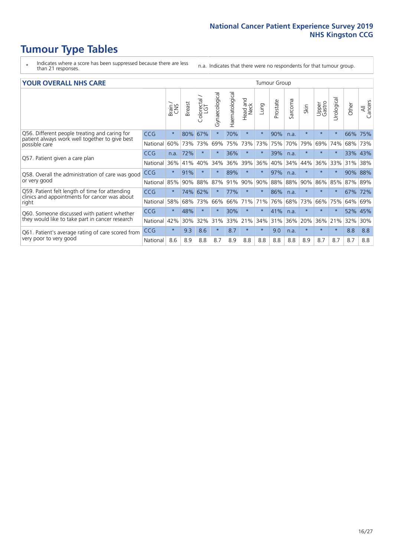- \* Indicates where a score has been suppressed because there are less than 21 responses.
- n.a. Indicates that there were no respondents for that tumour group.

#### **YOUR OVERALL NHS CARE** THE CONSTRUCTION OF THE THROUP GROUP TUMOUR GROUP

| I YUN YENAEL NI IYOANE |         |               |                                 |                |                |                         |         | iamoar oroap |         |         |                 |               |         |                |  |  |  |  |  |
|------------------------|---------|---------------|---------------------------------|----------------|----------------|-------------------------|---------|--------------|---------|---------|-----------------|---------------|---------|----------------|--|--|--|--|--|
|                        | Brain   | <b>Breast</b> | ∽<br>olorectal<br>LGT<br>$\cup$ | Gynaecological | Haematological | aad and<br>Neck<br>Head | Lung    | Prostate     | Sarcoma | Skin    | Upper<br>Gastro | ී<br>Urologic | Other   | All<br>Cancers |  |  |  |  |  |
| <b>CCG</b>             | $\star$ | 80%           | 67%                             |                | 70%            | $\star$                 | $\star$ | 90%          | n.a.    | $\star$ | $\star$         | $\star$       | 66%     | 75%            |  |  |  |  |  |
| National               | 60%     | 73%           | 73%                             | 69%            | 75%            | 73%                     | 73%     | 75%          | 70%     | 79%     | 69%             | 74%           | 68%     | 73%            |  |  |  |  |  |
| <b>CCG</b>             | n.a.    | 72%           | $\star$                         |                | 36%            | $\star$                 | $\star$ | 39%          | n.a.    | $\star$ | $\star$         | $\star$       | 33% 43% |                |  |  |  |  |  |
| National               | 36%     | 41%           | 40%                             | 34%            | 36%            | 39%                     | 36%     | 40%          | 34%     | 44%     | 36%             | 33%           | 31%     | 38%            |  |  |  |  |  |
| <b>CCG</b>             | $\star$ | 91%           | $\star$                         |                | 89%            | $\ast$                  | $\star$ | 97%          | n.a.    | $\star$ |                 |               | 90%     | 88%            |  |  |  |  |  |
| National               | 85%     | 90%           | 88%                             | 87%            | 91%            | 90%                     | 90%     | 88%          | 88%     | 90%     | 86%             | 85%           | 87%     | 89%            |  |  |  |  |  |
| <b>CCG</b>             | $\star$ | 74%           | 62%                             |                | 77%            | $\star$                 | $\star$ | 86%          | n.a.    | $\star$ | $\star$         | $\star$       | 67%     | 72%            |  |  |  |  |  |
| National               | 58%     | 68%           | 73%                             | 66%            | 66%            | 71%                     | 71%     | 76%          | 68%     | 73%     | 66%             | 75%           | 64%     | 69%            |  |  |  |  |  |
| <b>CCG</b>             | $\star$ | 48%           | $\star$                         |                | 30%            | $\star$                 | $\star$ | 41%          | n.a.    | $\star$ | $\star$         |               | 52%     | 45%            |  |  |  |  |  |
| National               | 42%     | 30%           | 32%                             | 31%            | 33%            |                         | 34%     | 31%          | 36%     | 20%     | 36%             | 21%           | 32%     | 30%            |  |  |  |  |  |
| <b>CCG</b>             | $\star$ | 9.3           | 8.6                             | $\star$        | 8.7            | $\star$                 | $\star$ | 9.0          | n.a.    | $\star$ | $\star$         | $\star$       | 8.8     | 8.8            |  |  |  |  |  |
| National               | 8.6     | 8.9           | 8.8                             | 8.7            | 8.9            | 8.8                     | 8.8     | 8.8          | 8.8     | 8.9     | 8.7             | 8.7           | 8.7     | 8.8            |  |  |  |  |  |
|                        |         |               |                                 |                |                |                         | 21%     |              |         |         |                 |               |         |                |  |  |  |  |  |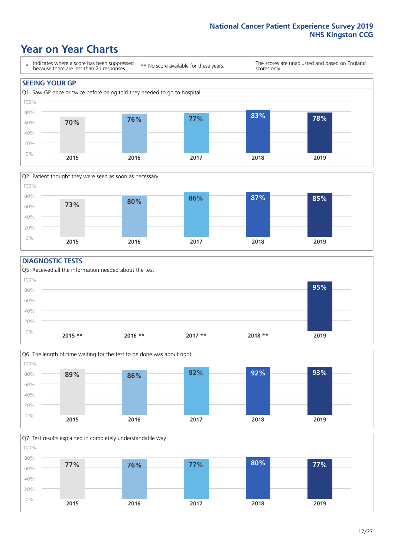### **Year on Year Charts**





#### **DIAGNOSTIC TESTS**





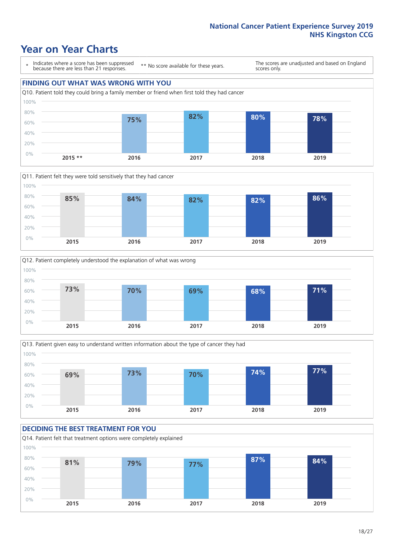### **Year on Year Charts**

\* Indicates where a score has been suppressed because there are less than 21 responses.

\*\* No score available for these years.

The scores are unadjusted and based on England scores only.

### **FINDING OUT WHAT WAS WRONG WITH YOU** Q10. Patient told they could bring a family member or friend when first told they had cancer 80% 100%









#### **DECIDING THE BEST TREATMENT FOR YOU** Q14. Patient felt that treatment options were completely explained 0% 20% 40% 60% 80% 100% **2015 2016 2017 2018 2019 81% 79% 77% 87% 84%**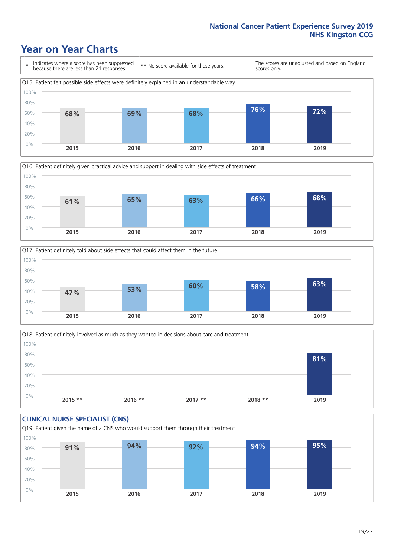### **Year on Year Charts**







Q18. Patient definitely involved as much as they wanted in decisions about care and treatment  $0%$ 20% 40% 60% 80% 100% **2015 \*\* 2016 \*\* 2017 \*\* 2018 \*\* 2019 81%**

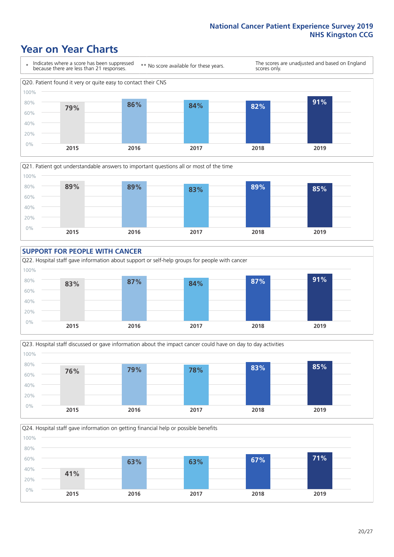### **Year on Year Charts**









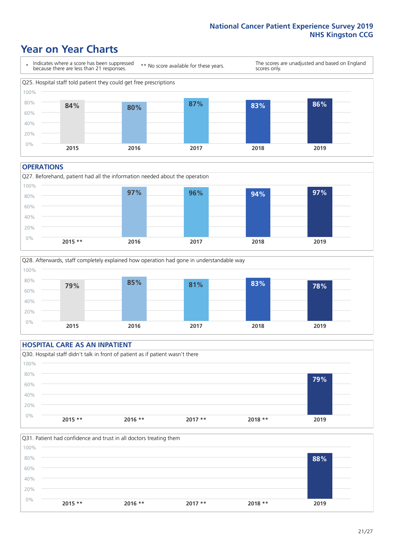### **Year on Year Charts**



#### **OPERATIONS**





#### **HOSPITAL CARE AS AN INPATIENT** Q30. Hospital staff didn't talk in front of patient as if patient wasn't there 0% 20% 40% 60% 80% 100% **2015 \*\* 2016 \*\* 2017 \*\* 2018 \*\* 2019 79%**

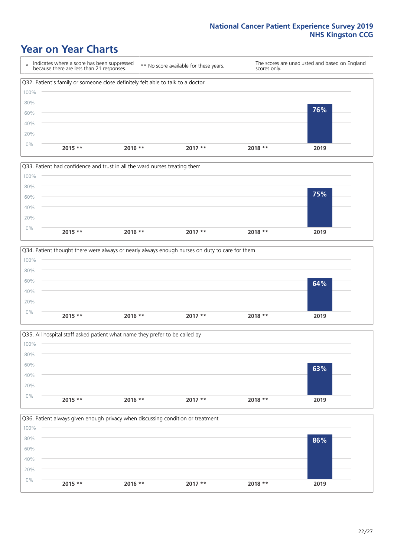### **Year on Year Charts**









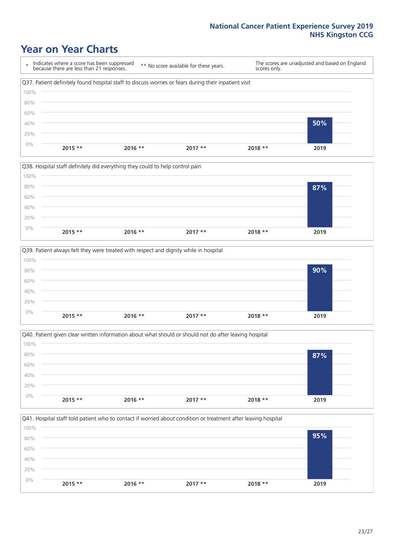### **Year on Year Charts**

\* Indicates where a score has been suppressed because there are less than 21 responses. \*\* No score available for these years. The scores are unadjusted and based on England scores only. Q37. Patient definitely found hospital staff to discuss worries or fears during their inpatient visit 0% 20% 40% 60% 80% 100% **2015 \*\* 2016 \*\* 2017 \*\* 2018 \*\* 2019 50%**







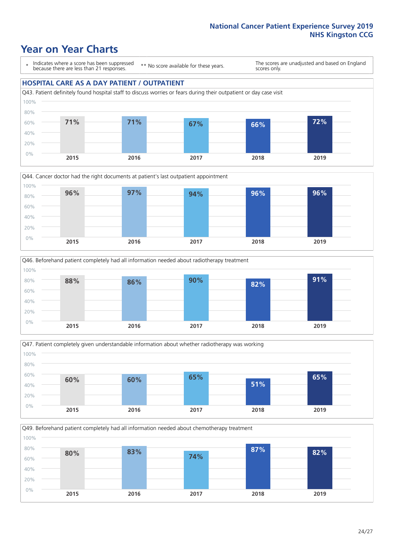### **Year on Year Charts**

\* Indicates where a score has been suppressed because there are less than 21 responses.

\*\* No score available for these years.

The scores are unadjusted and based on England scores only.

#### **HOSPITAL CARE AS A DAY PATIENT / OUTPATIENT**









Q49. Beforehand patient completely had all information needed about chemotherapy treatment 0% 20% 40% 60% 80% 100% **2015 2016 2017 2018 2019 80% 83% 74% 87% 82%**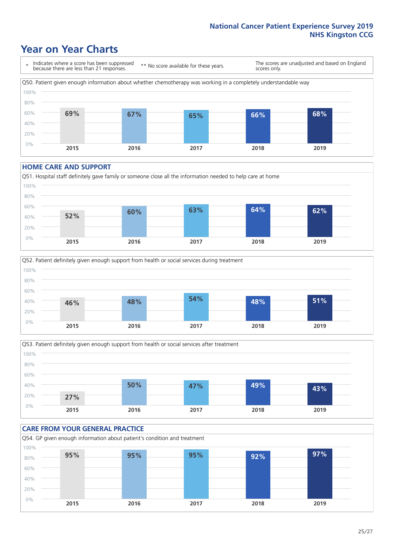### **Year on Year Charts**

\* Indicates where a score has been suppressed because there are less than 21 responses. \*\* No score available for these years. The scores are unadjusted and based on England scores only. Q50. Patient given enough information about whether chemotherapy was working in a completely understandable way 0% 20% 40% 60% 80% 100% **2015 2016 2017 2018 2019 69% 67% 65% 66% 68%**

#### **HOME CARE AND SUPPORT**







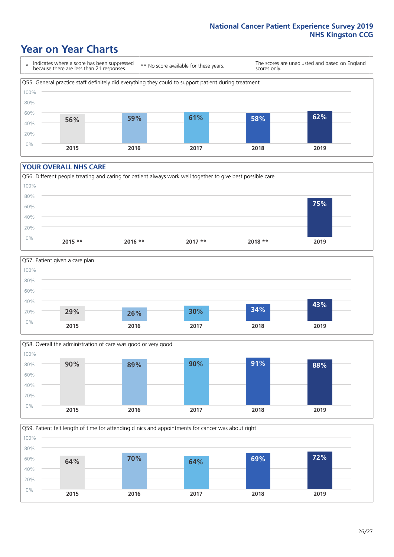### **Year on Year Charts**

\* Indicates where a score has been suppressed because there are less than 21 responses.

\*\* No score available for these years.

The scores are unadjusted and based on England scores only.



#### **YOUR OVERALL NHS CARE**







Q59. Patient felt length of time for attending clinics and appointments for cancer was about right 100%